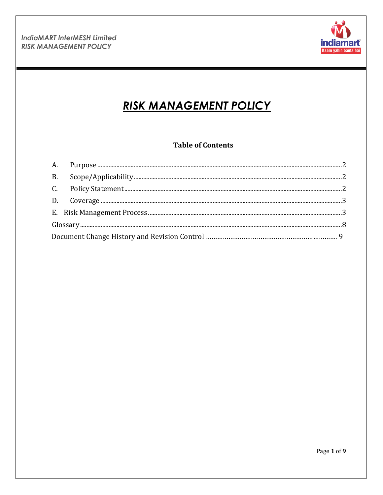

# **RISK MANAGEMENT POLICY**

# **Table of Contents**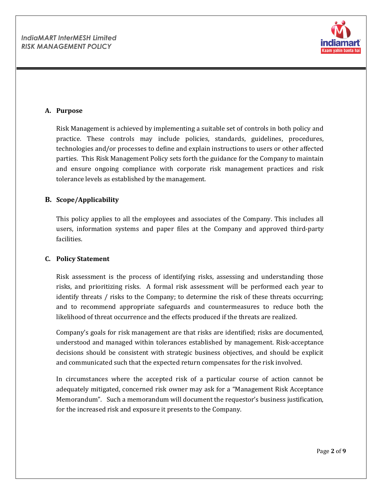

#### <span id="page-1-0"></span>**A. Purpose**

Risk Management is achieved by implementing a suitable set of controls in both policy and practice. These controls may include policies, standards, guidelines, procedures, technologies and/or processes to define and explain instructions to users or other affected parties. This Risk Management Policy sets forth the guidance for the Company to maintain and ensure ongoing compliance with corporate risk management practices and risk tolerance levels as established by the management.

#### <span id="page-1-1"></span>**B. Scope/Applicability**

This policy applies to all the employees and associates of the Company. This includes all users, information systems and paper files at the Company and approved third-party facilities.

#### <span id="page-1-2"></span>**C. Policy Statement**

Risk assessment is the process of identifying risks, assessing and understanding those risks, and prioritizing risks. A formal risk assessment will be performed each year to identify threats / risks to the Company; to determine the risk of these threats occurring; and to recommend appropriate safeguards and countermeasures to reduce both the likelihood of threat occurrence and the effects produced if the threats are realized.

Company's goals for risk management are that risks are identified; risks are documented, understood and managed within tolerances established by management. Risk-acceptance decisions should be consistent with strategic business objectives, and should be explicit and communicated such that the expected return compensates for the risk involved.

In circumstances where the accepted risk of a particular course of action cannot be adequately mitigated, concerned risk owner may ask for a "Management Risk Acceptance Memorandum". Such a memorandum will document the requestor's business justification, for the increased risk and exposure it presents to the Company.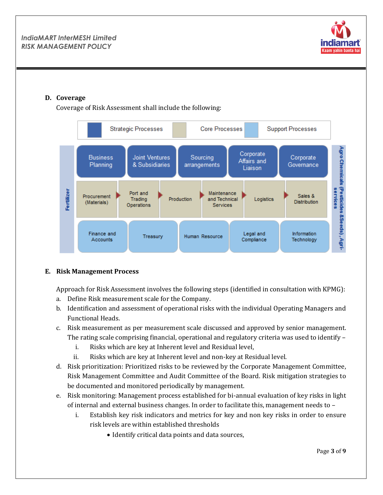

# <span id="page-2-0"></span>**D. Coverage**

Coverage of Risk Assessment shall include the following:



#### <span id="page-2-1"></span>**E. Risk Management Process**

Approach for Risk Assessment involves the following steps (identified in consultation with KPMG):

- a. Define Risk measurement scale for the Company.
- b. Identification and assessment of operational risks with the individual Operating Managers and Functional Heads.
- c. Risk measurement as per measurement scale discussed and approved by senior management. The rating scale comprising financial, operational and regulatory criteria was used to identify –
	- i. Risks which are key at Inherent level and Residual level,
	- ii. Risks which are key at Inherent level and non-key at Residual level.
- d. Risk prioritization: Prioritized risks to be reviewed by the Corporate Management Committee, Risk Management Committee and Audit Committee of the Board. Risk mitigation strategies to be documented and monitored periodically by management.
- e. Risk monitoring: Management process established for bi-annual evaluation of key risks in light of internal and external business changes. In order to facilitate this, management needs to –
	- i. Establish key risk indicators and metrics for key and non key risks in order to ensure risk levels are within established thresholds
		- Identify critical data points and data sources,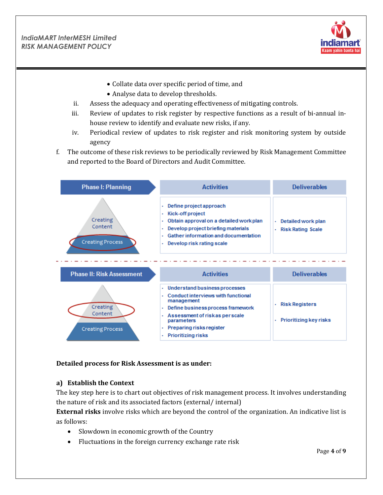

- Collate data over specific period of time, and
- Analyse data to develop thresholds.
- ii. Assess the adequacy and operating effectiveness of mitigating controls.
- iii. Review of updates to risk register by respective functions as a result of bi-annual inhouse review to identify and evaluate new risks, if any.
- iv. Periodical review of updates to risk register and risk monitoring system by outside agency
- f. The outcome of these risk reviews to be periodically reviewed by Risk Management Committee and reported to the Board of Directors and Audit Committee.

| <b>Phase I: Planning</b>                       | <b>Activities</b>                                                                                                                                                                                                                                     | <b>Deliverables</b>                                              |  |
|------------------------------------------------|-------------------------------------------------------------------------------------------------------------------------------------------------------------------------------------------------------------------------------------------------------|------------------------------------------------------------------|--|
| Creating<br>Content<br><b>Creating Process</b> | Define project approach<br>×<br>· Kick-off project<br>Obtain approval on a detailed work plan<br>٠<br>Develop project briefing materials<br>×<br>Gather information and documentation<br>×.<br>Develop risk rating scale<br>×.                        | Detailed work plan<br>×.<br><b>Risk Rating Scale</b><br>٠        |  |
| <b>Phase II: Risk Assessment</b>               | <b>Activities</b>                                                                                                                                                                                                                                     | <b>Deliverables</b>                                              |  |
| Creating<br>Content<br><b>Creating Process</b> | • Understand business processes<br>Conduct interviews with functional<br>management<br>Define business process framework<br>٠<br>Assessment of risk as perscale<br>٠<br>parameters<br>Preparing risks register<br>٠<br><b>Prioritizing risks</b><br>٠ | <b>Risk Registers</b><br>٠<br><b>Prioritizing key risks</b><br>٠ |  |

#### **Detailed process for Risk Assessment is as under:**

#### **a) Establish the Context**

The key step here is to chart out objectives of risk management process. It involves understanding the nature of risk and its associated factors (external/ internal)

**External risks** involve risks which are beyond the control of the organization. An indicative list is as follows:

- Slowdown in economic growth of the Country
- Fluctuations in the foreign currency exchange rate risk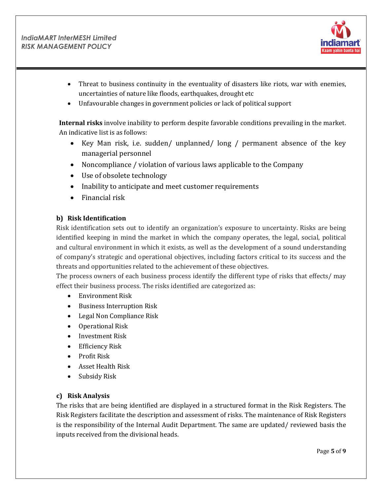

- Threat to business continuity in the eventuality of disasters like riots, war with enemies, uncertainties of nature like floods, earthquakes, drought etc
- Unfavourable changes in government policies or lack of political support

**Internal risks** involve inability to perform despite favorable conditions prevailing in the market. An indicative list is as follows:

- Key Man risk, i.e. sudden/ unplanned/ long / permanent absence of the key managerial personnel
- Noncompliance / violation of various laws applicable to the Company
- Use of obsolete technology
- Inability to anticipate and meet customer requirements
- $\bullet$  Financial risk

## **b) Risk Identification**

Risk identification sets out to identify an organization's exposure to uncertainty. Risks are being identified keeping in mind the market in which the company operates, the legal, social, political and cultural environment in which it exists, as well as the development of a sound understanding of company's strategic and operational objectives, including factors critical to its success and the threats and opportunities related to the achievement of these objectives.

The process owners of each business process identify the different type of risks that effects/ may effect their business process. The risks identified are categorized as:

- Environment Risk
- Business Interruption Risk
- Legal Non Compliance Risk
- Operational Risk
- Investment Risk
- Efficiency Risk
- Profit Risk
- Asset Health Risk
- Subsidy Risk

# **c) Risk Analysis**

The risks that are being identified are displayed in a structured format in the Risk Registers. The Risk Registers facilitate the description and assessment of risks. The maintenance of Risk Registers is the responsibility of the Internal Audit Department. The same are updated/ reviewed basis the inputs received from the divisional heads.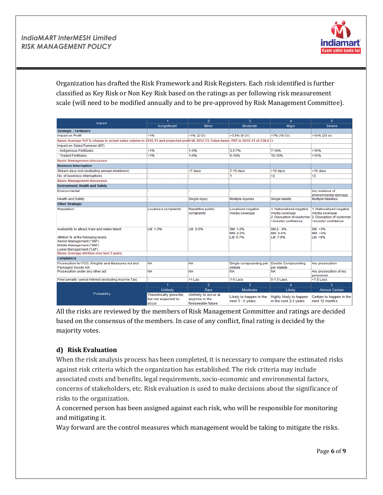

Organization has drafted the Risk Framework and Risk Registers. Each risk identified is further classified as Key Risk or Non Key Risk based on the ratings as per following risk measurement scale (will need to be modified annually and to be pre-approved by Risk Management Committee).

| Impact                                                                                                                                                                                                                           | 1                                                                                                                                        | $\overline{2}$                                               | $\overline{\mathbf{3}}$                     | $\overline{A}$                                                                                  | 5.                                                                                              |
|----------------------------------------------------------------------------------------------------------------------------------------------------------------------------------------------------------------------------------|------------------------------------------------------------------------------------------------------------------------------------------|--------------------------------------------------------------|---------------------------------------------|-------------------------------------------------------------------------------------------------|-------------------------------------------------------------------------------------------------|
|                                                                                                                                                                                                                                  | Insignificant                                                                                                                            | <b>Minor</b>                                                 | <b>Moderate</b>                             | <b>Major</b>                                                                                    | <b>Severe</b>                                                                                   |
| <b>Strategic - Fertilizers</b>                                                                                                                                                                                                   |                                                                                                                                          |                                                              |                                             |                                                                                                 |                                                                                                 |
| <b>Impact on Profit</b>                                                                                                                                                                                                          | 1%                                                                                                                                       | $>1\%$ (2 Cr)                                                | >3.5% (8 Cr)                                | >7% (16 Cr)                                                                                     | $>10\%$ (23 cr)                                                                                 |
|                                                                                                                                                                                                                                  | Basis: Average YoY % change in actual sales volume in 2010-11 and projected profit till 2012-13; Value basis: PBT in 2010-11 of 239.4 Cr |                                                              |                                             |                                                                                                 |                                                                                                 |
| Impact on Sales/Turnover (MT)                                                                                                                                                                                                    |                                                                                                                                          |                                                              |                                             |                                                                                                 |                                                                                                 |
| - Indigenous Fertilizers                                                                                                                                                                                                         | 1%                                                                                                                                       | $1 - 3%$                                                     | 3.5-7%                                      | 7-10%                                                                                           | >10%                                                                                            |
| - Traded Fertilizers                                                                                                                                                                                                             | 1%                                                                                                                                       | $1 - 5%$                                                     | 5-10%                                       | 10-15%                                                                                          | >15%                                                                                            |
| <b>Basis: Management discussion</b>                                                                                                                                                                                              |                                                                                                                                          |                                                              |                                             |                                                                                                 |                                                                                                 |
| <b>Business Interruption</b>                                                                                                                                                                                                     |                                                                                                                                          |                                                              |                                             |                                                                                                 |                                                                                                 |
| Stream days lost (excluding annual shutdown)                                                                                                                                                                                     |                                                                                                                                          | <7 days                                                      | 7-15 days                                   | >15 days                                                                                        | >15 days                                                                                        |
| No. of business interruptions                                                                                                                                                                                                    |                                                                                                                                          |                                                              | 1                                           | >2                                                                                              | >2                                                                                              |
| <b>Basis: Management discussion</b>                                                                                                                                                                                              |                                                                                                                                          |                                                              |                                             |                                                                                                 |                                                                                                 |
| <b>Environment, Health and Safety</b>                                                                                                                                                                                            |                                                                                                                                          |                                                              |                                             |                                                                                                 |                                                                                                 |
| Environmental                                                                                                                                                                                                                    |                                                                                                                                          |                                                              |                                             |                                                                                                 | Anv instance of<br>environmental damage                                                         |
| <b>Health and Safety</b>                                                                                                                                                                                                         |                                                                                                                                          | Single injury                                                | Multiple injuries                           | Single fatality                                                                                 | Multiple fatalities                                                                             |
| <b>Other Strategic</b>                                                                                                                                                                                                           |                                                                                                                                          |                                                              |                                             |                                                                                                 |                                                                                                 |
| Reputation                                                                                                                                                                                                                       | <b>Localised complaints</b>                                                                                                              | Repetitive public<br>complaints                              | Localised negative<br>media coverage        | 1. Nationalised negative<br>media coverage<br>2. Disruption of customer<br>/investor confidence | 1. Nationalised negative<br>media coverage<br>2. Disruption of customer<br>/investor confidence |
| Availability to attract, train and retain talent<br>Attrition % at the following levels:<br>Senior Management ("SM")<br>Middle Management ("MM")<br>Lower Management ("LM")<br><b>Basis: Average attrition over last 3 years</b> | LM: 1-3%                                                                                                                                 | $LM: 3-5%$                                                   | SM: 1-2%<br>MM: 2-3%<br>LM: 5-7%            | $SM:2 - 3%$<br>MM: 3-4%<br>LM: 7-9%                                                             | $SM: > 3\%$<br>MM: > 4%<br>LM: >9%                                                              |
| Compliance                                                                                                                                                                                                                       |                                                                                                                                          |                                                              |                                             |                                                                                                 |                                                                                                 |
| Prosecution for FCO. Weights and Measures Act and<br><b>Packaged Goods Act</b>                                                                                                                                                   | <b>NA</b>                                                                                                                                | <b>NA</b>                                                    | Single compounding per<br>statute           | Double Compounding<br>per statute                                                               | Any prosecution                                                                                 |
| Prosecution under any other act                                                                                                                                                                                                  | <b>NA</b>                                                                                                                                | <b>NA</b>                                                    | <b>NA</b>                                   | <b>NA</b>                                                                                       | Any prosecution of key<br>personnel                                                             |
| Fine/ penalty / penal interest (excluding Income Tax)                                                                                                                                                                            |                                                                                                                                          | <1 Lac                                                       | 1-5 Lacs                                    | 5-7.5 Lacs                                                                                      | >7.5 Lacs                                                                                       |
|                                                                                                                                                                                                                                  | 1                                                                                                                                        | $\overline{2}$                                               | $\overline{\mathbf{3}}$                     | $\boldsymbol{\Lambda}$                                                                          | 5                                                                                               |
|                                                                                                                                                                                                                                  | <b>Unlikely</b>                                                                                                                          | Rare                                                         | Moderate                                    | Likely                                                                                          | <b>Almost Certain</b>                                                                           |
| Probability                                                                                                                                                                                                                      | Theoretically possible.<br>but not expected to<br>occur                                                                                  | Unlikely to occur at<br>anytime in the<br>foreseeable future | Likely to happen in the<br>next 3 - 5 years | Highly likely to happen<br>in the next 2-3 years                                                | Certain to happen in the<br>next 12 months                                                      |

All the risks are reviewed by the members of Risk Management Committee and ratings are decided based on the consensus of the members. In case of any conflict, final rating is decided by the majority votes.

# **d) Risk Evaluation**

When the risk analysis process has been completed, it is necessary to compare the estimated risks against risk criteria which the organization has established. The risk criteria may include associated costs and benefits, legal requirements, socio-economic and environmental factors, concerns of stakeholders, etc. Risk evaluation is used to make decisions about the significance of risks to the organization.

A concerned person has been assigned against each risk, who will be responsible for monitoring and mitigating it.

Way forward are the control measures which management would be taking to mitigate the risks.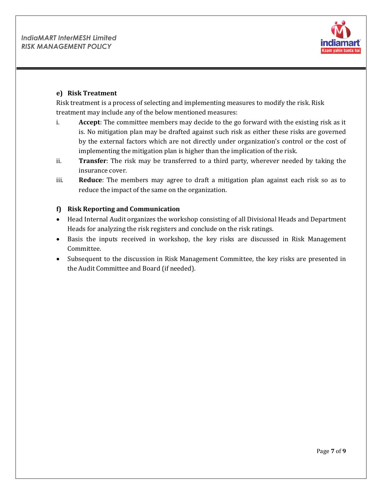

#### **e) Risk Treatment**

Risk treatment is a process of selecting and implementing measures to modify the risk. Risk treatment may include any of the below mentioned measures:

- i. **Accept**: The committee members may decide to the go forward with the existing risk as it is. No mitigation plan may be drafted against such risk as either these risks are governed by the external factors which are not directly under organization's control or the cost of implementing the mitigation plan is higher than the implication of the risk.
- ii. **Transfer**: The risk may be transferred to a third party, wherever needed by taking the insurance cover.
- iii. **Reduce**: The members may agree to draft a mitigation plan against each risk so as to reduce the impact of the same on the organization.

# **f) Risk Reporting and Communication**

- Head Internal Audit organizes the workshop consisting of all Divisional Heads and Department Heads for analyzing the risk registers and conclude on the risk ratings.
- Basis the inputs received in workshop, the key risks are discussed in Risk Management Committee.
- Subsequent to the discussion in Risk Management Committee, the key risks are presented in the Audit Committee and Board (if needed).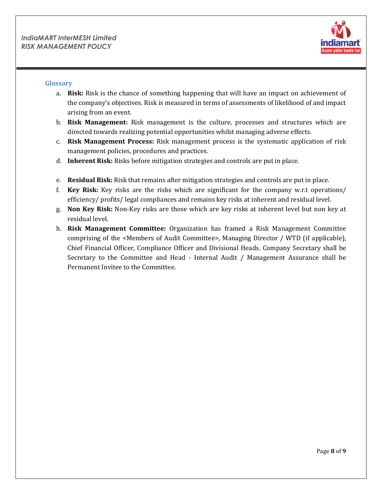![](_page_7_Picture_1.jpeg)

#### <span id="page-7-0"></span>**Glossary**

- a. **Risk:** Risk is the chance of something happening that will have an impact on achievement of the company's objectives. Risk is measured in terms of assessments of likelihood of and impact arising from an event.
- b. **Risk Management:** Risk management is the culture, processes and structures which are directed towards realizing potential opportunities whilst managing adverse effects.
- c. **Risk Management Process:** Risk management process is the systematic application of risk management policies, procedures and practices.
- d. **Inherent Risk:** Risks before mitigation strategies and controls are put in place.
- e. **Residual Risk:** Risk that remains after mitigation strategies and controls are put in place.
- f. **Key Risk:** Key risks are the risks which are significant for the company w.r.t operations/ efficiency/ profits/ legal compliances and remains key risks at inherent and residual level.
- g. **Non Key Risk:** Non-Key risks are those which are key risks at inherent level but non key at residual level.
- h. **Risk Management Committee:** Organization has framed a Risk Management Committee comprising of the <Members of Audit Committee>, Managing Director / WTD (if applicable), Chief Financial Officer, Compliance Officer and Divisional Heads. Company Secretary shall be Secretary to the Committee and Head - Internal Audit / Management Assurance shall be Permanent Invitee to the Committee.